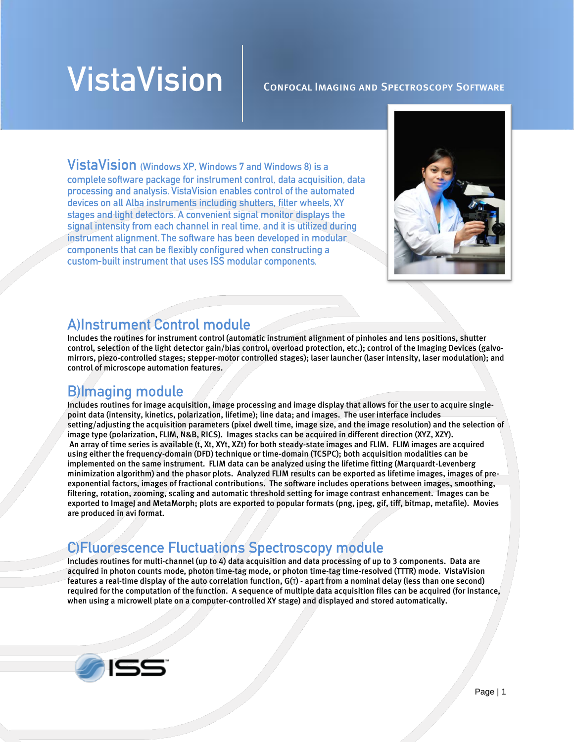# **VistaVision**

#### Confocal Imaging and Spectroscopy Software

VistaVision (Windows XP, Windows 7 and Windows 8) is a complete software package for instrument control, data acquisition, data processing and analysis. VistaVision enables control of the automated devices on all Alba instruments including shutters, filter wheels, XY stages and light detectors. A convenient signal monitor displays the signal intensity from each channel in real time, and it is utilized during instrument alignment. The software has been developed in modular components that can be flexibly configured when constructing a custom-built instrument that uses ISS modular components.



#### **Allnstrument Control module**

Includes the routines for instrument control (automatic instrument alignment of pinholes and lens positions, shutter control, selection of the light detector gain/bias control, overload protection, etc.); control of the Imaging Devices (galvomirrors, piezo-controlled stages; stepper-motor controlled stages); laser launcher (laser intensity, laser modulation); and control of microscope automation features.

#### **B**)Imaging module

Includes routines for image acquisition, image processing and image display that allows for the user to acquire singlepoint data (intensity, kinetics, polarization, lifetime); line data; and images. The user interface includes setting/adjusting the acquisition parameters (pixel dwell time, image size, and the image resolution) and the selection of image type (polarization, FLIM, N&B, RICS). Images stacks can be acquired in different direction (XYZ, XZY). An array of time series is available (t, Xt, XYt, XZt) for both steady-state images and FLIM. FLIM images are acquired using either the frequency-domain (DFD) technique or time-domain (TCSPC); both acquisition modalities can be implemented on the same instrument. FLIM data can be analyzed using the lifetime fitting (Marquardt-Levenberg minimization algorithm) and the phasor plots. Analyzed FLIM results can be exported as lifetime images, images of preexponential factors, images of fractional contributions. The software includes operations between images, smoothing, filtering, rotation, zooming, scaling and automatic threshold setting for image contrast enhancement. Images can be exported to ImageJ and MetaMorph; plots are exported to popular formats (png, jpeg, gif, tiff, bitmap, metafile). Movies are produced in avi format.

#### **C)Fluorescence Fluctuations Spectroscopy module**

Includes routines for multi-channel (up to 4) data acquisition and data processing of up to 3 components. Data are acquired in photon counts mode, photon time-tag mode, or photon time-tag time-resolved (TTTR) mode. VistaVision features a real-time display of the auto correlation function, G(τ) - apart from a nominal delay (less than one second) required for the computation of the function. A sequence of multiple data acquisition files can be acquired (for instance, when using a microwell plate on a computer-controlled XY stage) and displayed and stored automatically.

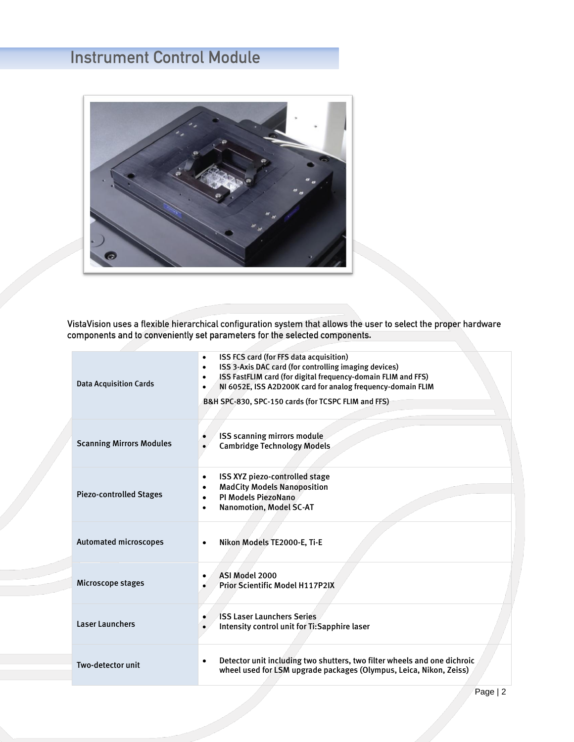## **Instrument Control Module**



VistaVision uses a flexible hierarchical configuration system that allows the user to select the proper hardware<br>components and to conveniently set parameters for the selected components.

| <b>Data Acquisition Cards</b>   | ISS FCS card (for FFS data acquisition)<br>٠<br>ISS 3-Axis DAC card (for controlling imaging devices)<br>٠<br>ISS FastFLIM card (for digital frequency-domain FLIM and FFS)<br>NI 6052E, ISS A2D200K card for analog frequency-domain FLIM<br>B&H SPC-830, SPC-150 cards (for TCSPC FLIM and FFS) |
|---------------------------------|---------------------------------------------------------------------------------------------------------------------------------------------------------------------------------------------------------------------------------------------------------------------------------------------------|
| <b>Scanning Mirrors Modules</b> | ISS scanning mirrors module<br><b>Cambridge Technology Models</b>                                                                                                                                                                                                                                 |
| <b>Piezo-controlled Stages</b>  | ISS XYZ piezo-controlled stage<br>$\bullet$<br><b>MadCity Models Nanoposition</b><br>PI Models PiezoNano<br><b>Nanomotion, Model SC-AT</b>                                                                                                                                                        |
| Automated microscopes           | Nikon Models TE2000-E, Ti-E<br>$\bullet$                                                                                                                                                                                                                                                          |
| Microscope stages               | ASI Model 2000<br><b>Prior Scientific Model H117P2IX</b>                                                                                                                                                                                                                                          |
| <b>Laser Launchers</b>          | <b>ISS Laser Launchers Series</b><br>Intensity control unit for Ti:Sapphire laser                                                                                                                                                                                                                 |
| Two-detector unit               | Detector unit including two shutters, two filter wheels and one dichroic<br>$\bullet$<br>wheel used for LSM upgrade packages (Olympus, Leica, Nikon, Zeiss)                                                                                                                                       |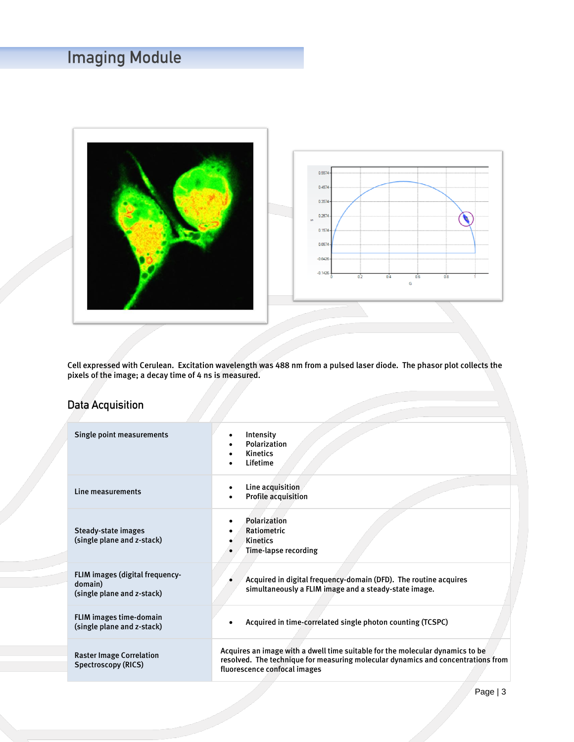## **Imaging Module**





Cell expressed with Cerulean. Excitation wavelength was 488 nm from a pulsed laser diode. The phasor plot collects the pixels of the image; a decay time of 4 ns is measured.

#### **Data Acquisition**

| Single point measurements                                                | Intensity<br>Polarization<br><b>Kinetics</b><br>$\bullet$<br>Lifetime                                                                                                                             |  |
|--------------------------------------------------------------------------|---------------------------------------------------------------------------------------------------------------------------------------------------------------------------------------------------|--|
| Line measurements                                                        | Line acquisition<br><b>Profile acquisition</b>                                                                                                                                                    |  |
| Steady-state images<br>(single plane and z-stack)                        | Polarization<br>Ratiometric<br><b>Kinetics</b><br>Time-lapse recording                                                                                                                            |  |
| FLIM images (digital frequency-<br>domain)<br>(single plane and z-stack) | Acquired in digital frequency-domain (DFD). The routine acquires<br>simultaneously a FLIM image and a steady-state image.                                                                         |  |
| <b>FLIM images time-domain</b><br>(single plane and z-stack)             | Acquired in time-correlated single photon counting (TCSPC)                                                                                                                                        |  |
| <b>Raster Image Correlation</b><br>Spectroscopy (RICS)                   | Acquires an image with a dwell time suitable for the molecular dynamics to be<br>resolved. The technique for measuring molecular dynamics and concentrations from<br>fluorescence confocal images |  |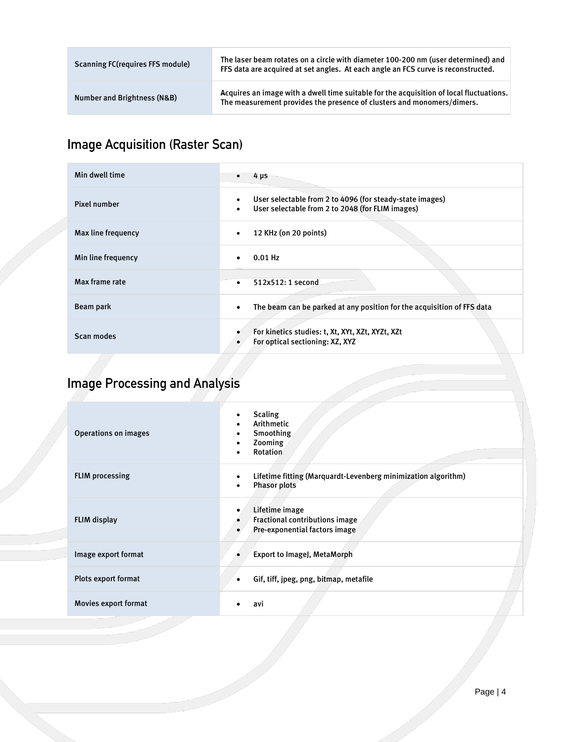| <b>Scanning FC (requires FFS module)</b> | The laser beam rotates on a circle with diameter 100-200 nm (user determined) and<br>FFS data are acquired at set angles. At each angle an FCS curve is reconstructed. |
|------------------------------------------|------------------------------------------------------------------------------------------------------------------------------------------------------------------------|
| Number and Brightness (N&B)              | Acquires an image with a dwell time suitable for the acquisition of local fluctuations.<br>The measurement provides the presence of clusters and monomers/dimers.      |

## **Image Acquisition (Raster Scan)**

| Min dwell time     | $4 \mu s$                                                                                                                 |
|--------------------|---------------------------------------------------------------------------------------------------------------------------|
| Pixel number       | User selectable from 2 to 4096 (for steady-state images)<br>User selectable from 2 to 2048 (for FLIM images)<br>$\bullet$ |
| Max line frequency | 12 KHz (on 20 points)<br>$\bullet$                                                                                        |
| Min line frequency | $0.01$ Hz                                                                                                                 |
| Max frame rate     | 512x512: 1 second<br>$\bullet$                                                                                            |
| Beam park          | The beam can be parked at any position for the acquisition of FFS data<br>٠                                               |
| Scan modes         | For kinetics studies: t, Xt, XYt, XZt, XYZt, XZt<br>For optical sectioning: XZ, XYZ                                       |

## **Image Processing and Analysis**

| <b>Operations on images</b> | <b>Scaling</b><br>Arithmetic<br>Smoothing<br>Zooming<br><b>Rotation</b>                   |
|-----------------------------|-------------------------------------------------------------------------------------------|
| <b>FLIM processing</b>      | Lifetime fitting (Marquardt-Levenberg minimization algorithm)<br><b>Phasor plots</b><br>٠ |
| FLIM display                | Lifetime image<br>Fractional contributions image<br>Pre-exponential factors image         |
| Image export format         | <b>Export to ImageJ, MetaMorph</b>                                                        |
| Plots export format         | Gif, tiff, jpeg, png, bitmap, metafile<br>٠                                               |
| Movies export format        | avi                                                                                       |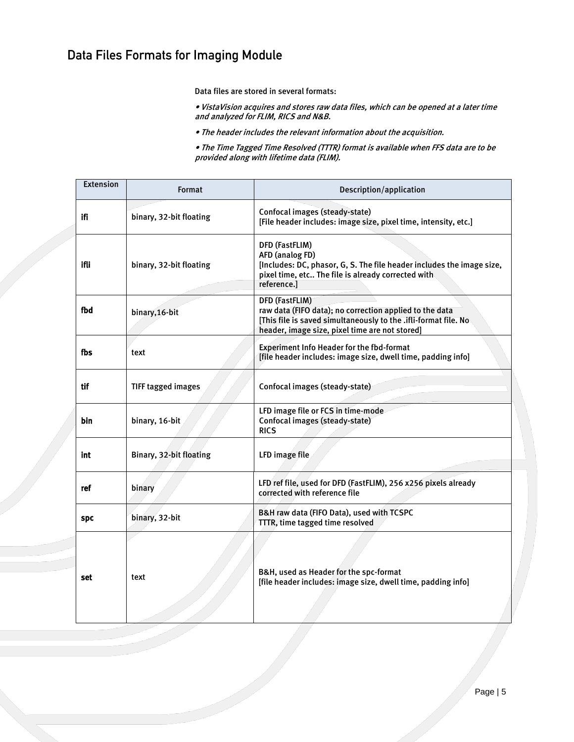#### Data Files Formats for Imaging Module

Data files are stored in several formats:

- VistaVision acquires and stores raw data files, which can be opened at a later time and analyzed for FLIM, RICS and N&B.
- The header includes the relevant information about the acquisition.

• The Time Tagged Time Resolved (TTTR) format is available when FFS data are to be provided along with lifetime data (FLIM).

| <b>Extension</b> | Format                  | Description/application                                                                                                                                                                               |
|------------------|-------------------------|-------------------------------------------------------------------------------------------------------------------------------------------------------------------------------------------------------|
| ifi              | binary, 32-bit floating | Confocal images (steady-state)<br>[File header includes: image size, pixel time, intensity, etc.]                                                                                                     |
| ifli             | binary, 32-bit floating | DFD (FastFLIM)<br>AFD (analog FD)<br>[Includes: DC, phasor, G, S. The file header includes the image size,<br>pixel time, etc The file is already corrected with<br>reference.]                       |
| fbd              | binary, 16-bit          | <b>DFD (FastFLIM)</b><br>raw data (FIFO data); no correction applied to the data<br>[This file is saved simultaneously to the .ifli-format file. No<br>header, image size, pixel time are not stored] |
| fbs              | text                    | <b>Experiment Info Header for the fbd-format</b><br>[file header includes: image size, dwell time, padding info]                                                                                      |
| tif              | TIFF tagged images      | Confocal images (steady-state)                                                                                                                                                                        |
| bin              | binary, 16-bit          | LFD image file or FCS in time-mode<br>Confocal images (steady-state)<br><b>RICS</b>                                                                                                                   |
| int              | Binary, 32-bit floating | LFD image file                                                                                                                                                                                        |
| ref              | binary                  | LFD ref file, used for DFD (FastFLIM), 256 x256 pixels already<br>corrected with reference file                                                                                                       |
| <b>SPC</b>       | binary, 32-bit          | B&H raw data (FIFO Data), used with TCSPC<br>TTTR, time tagged time resolved                                                                                                                          |
| set              | text                    | B&H, used as Header for the spc-format<br>[file header includes: image size, dwell time, padding info]                                                                                                |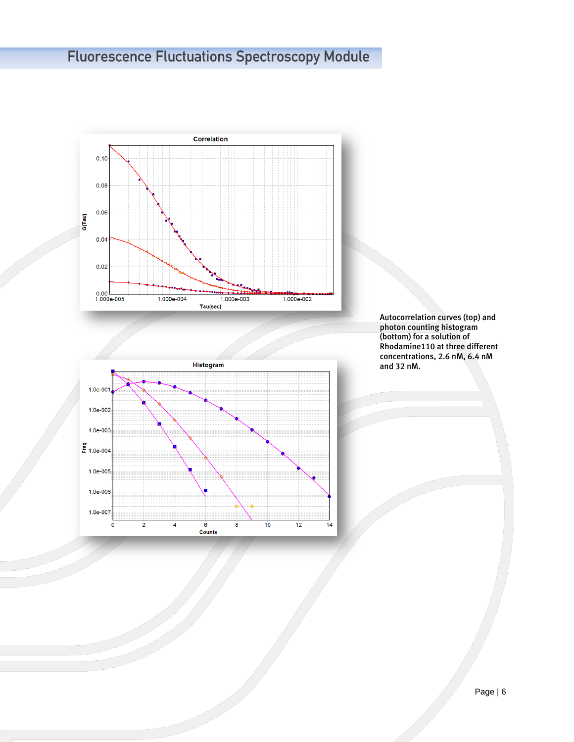## **Fluorescence Fluctuations Spectroscopy Module**





Autocorrelation curves (top) and photon counting histogram (bottom) for a solution of Rhodamine110 at three different concentrations, 2.6 nM, 6.4 nM and 32 nM.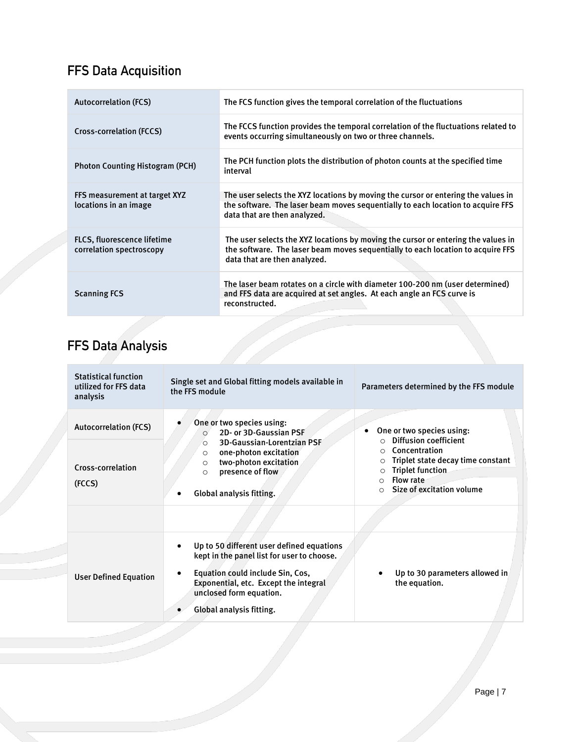### **FFS Data Acquisition**

| <b>Autocorrelation (FCS)</b>                                   | The FCS function gives the temporal correlation of the fluctuations                                                                                                                                  |
|----------------------------------------------------------------|------------------------------------------------------------------------------------------------------------------------------------------------------------------------------------------------------|
| Cross-correlation (FCCS)                                       | The FCCS function provides the temporal correlation of the fluctuations related to<br>events occurring simultaneously on two or three channels.                                                      |
| <b>Photon Counting Histogram (PCH)</b>                         | The PCH function plots the distribution of photon counts at the specified time<br>interval                                                                                                           |
| FFS measurement at target XYZ<br>locations in an image         | The user selects the XYZ locations by moving the cursor or entering the values in<br>the software. The laser beam moves sequentially to each location to acquire FFS<br>data that are then analyzed. |
| <b>FLCS, fluorescence lifetime</b><br>correlation spectroscopy | The user selects the XYZ locations by moving the cursor or entering the values in<br>the software. The laser beam moves sequentially to each location to acquire FFS<br>data that are then analyzed. |
| <b>Scanning FCS</b>                                            | The laser beam rotates on a circle with diameter 100-200 nm (user determined)<br>and FFS data are acquired at set angles. At each angle an FCS curve is<br>reconstructed.                            |

## FFS Data Analysis

| <b>Statistical function</b><br>utilized for FFS data<br>analysis | Single set and Global fitting models available in<br>the FFS module                                                                                                                                                         | Parameters determined by the FFS module                                                                                                                                              |  |
|------------------------------------------------------------------|-----------------------------------------------------------------------------------------------------------------------------------------------------------------------------------------------------------------------------|--------------------------------------------------------------------------------------------------------------------------------------------------------------------------------------|--|
| <b>Autocorrelation (FCS)</b>                                     | One or two species using:<br>2D- or 3D-Gaussian PSF<br>$\circ$                                                                                                                                                              | One or two species using:<br><b>Diffusion coefficient</b>                                                                                                                            |  |
| Cross-correlation<br>(FCCS)                                      | <b>3D-Gaussian-Lorentzian PSF</b><br>$\circ$<br>one-photon excitation<br>$\circ$<br>two-photon excitation<br>$\circ$<br>presence of flow<br>$\circ$<br>Global analysis fitting.                                             | Concentration<br>∩<br>Triplet state decay time constant<br>$\Omega$<br><b>Triplet function</b><br>$\circ$<br><b>Flow rate</b><br>$\bigcap$<br>Size of excitation volume<br>$\bigcap$ |  |
|                                                                  |                                                                                                                                                                                                                             |                                                                                                                                                                                      |  |
| <b>User Defined Equation</b>                                     | Up to 50 different user defined equations<br>kept in the panel list for user to choose.<br>Equation could include Sin, Cos,<br>Exponential, etc. Except the integral<br>unclosed form equation.<br>Global analysis fitting. | Up to 30 parameters allowed in<br>the equation.                                                                                                                                      |  |